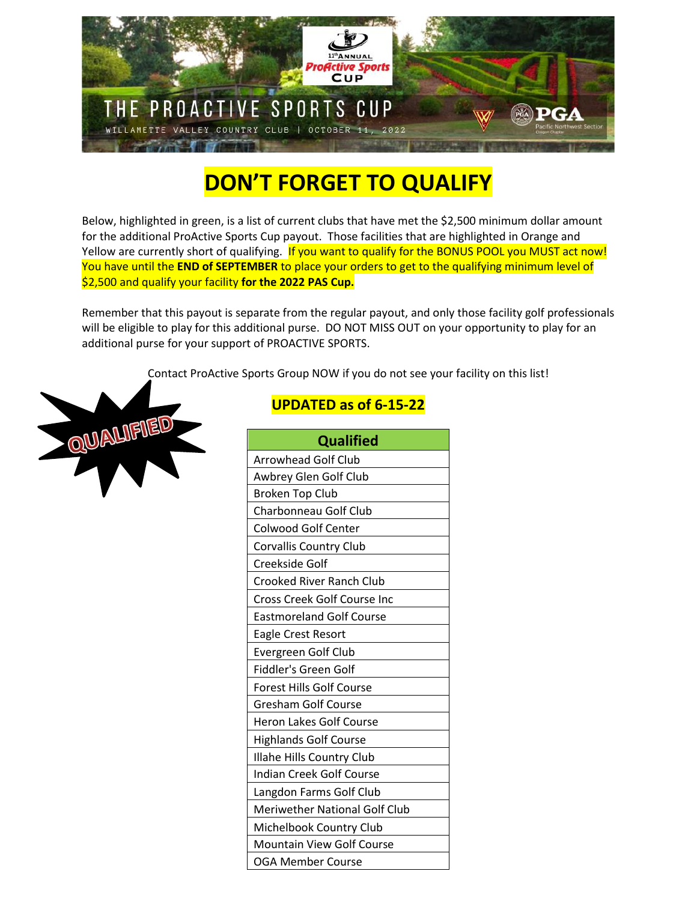

## **DON'T FORGET TO QUALIFY**

Below, highlighted in green, is a list of current clubs that have met the \$2,500 minimum dollar amount for the additional ProActive Sports Cup payout. Those facilities that are highlighted in Orange and Yellow are currently short of qualifying. If you want to qualify for the BONUS POOL you MUST act now! You have until the **END of SEPTEMBER** to place your orders to get to the qualifying minimum level of \$2,500 and qualify your facility **for the 2022 PAS Cup.**

Remember that this payout is separate from the regular payout, and only those facility golf professionals will be eligible to play for this additional purse. DO NOT MISS OUT on your opportunity to play for an additional purse for your support of PROACTIVE SPORTS.

Contact ProActive Sports Group NOW if you do not see your facility on this list!



## **UPDATED as of 6-15-22**

| <b>Qualified</b>                     |
|--------------------------------------|
| <b>Arrowhead Golf Club</b>           |
| Awbrey Glen Golf Club                |
| <b>Broken Top Club</b>               |
| Charbonneau Golf Club                |
| <b>Colwood Golf Center</b>           |
| <b>Corvallis Country Club</b>        |
| Creekside Golf                       |
| Crooked River Ranch Club             |
| <b>Cross Creek Golf Course Inc</b>   |
| <b>Eastmoreland Golf Course</b>      |
| <b>Eagle Crest Resort</b>            |
| Evergreen Golf Club                  |
| Fiddler's Green Golf                 |
| <b>Forest Hills Golf Course</b>      |
| <b>Gresham Golf Course</b>           |
| <b>Heron Lakes Golf Course</b>       |
| <b>Highlands Golf Course</b>         |
| <b>Illahe Hills Country Club</b>     |
| <b>Indian Creek Golf Course</b>      |
| Langdon Farms Golf Club              |
| <b>Meriwether National Golf Club</b> |
| Michelbook Country Club              |
| <b>Mountain View Golf Course</b>     |
| OGA Member Course                    |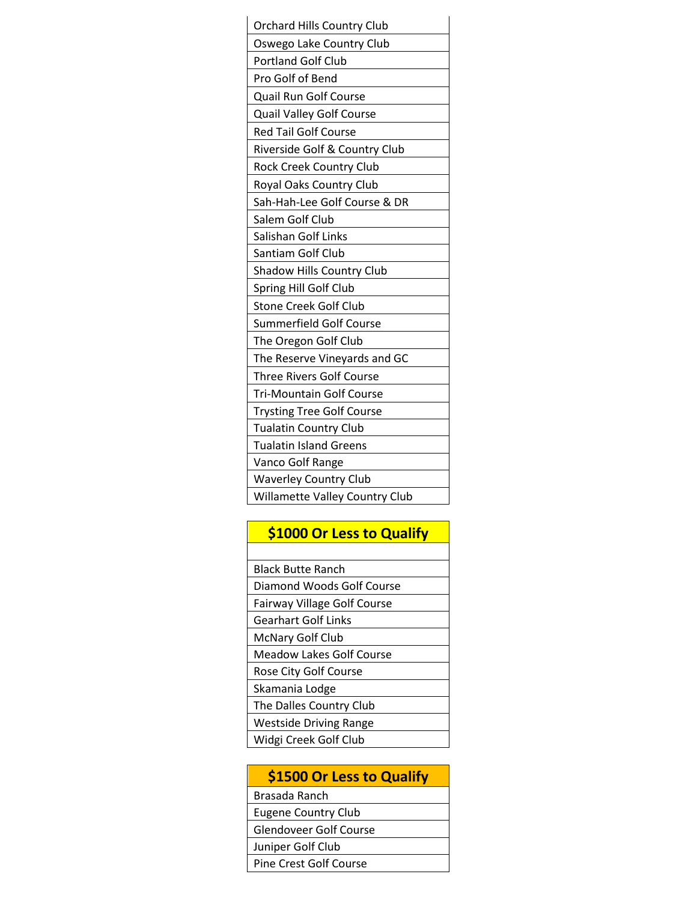| <b>Orchard Hills Country Club</b>     |
|---------------------------------------|
| Oswego Lake Country Club              |
| <b>Portland Golf Club</b>             |
| Pro Golf of Bend                      |
| Quail Run Golf Course                 |
| Quail Valley Golf Course              |
| Red Tail Golf Course                  |
| Riverside Golf & Country Club         |
| <b>Rock Creek Country Club</b>        |
| Royal Oaks Country Club               |
| Sah-Hah-Lee Golf Course & DR          |
| Salem Golf Club                       |
| Salishan Golf Links                   |
| Santiam Golf Club                     |
| Shadow Hills Country Club             |
| Spring Hill Golf Club                 |
| <b>Stone Creek Golf Club</b>          |
| <b>Summerfield Golf Course</b>        |
| The Oregon Golf Club                  |
| The Reserve Vineyards and GC          |
| <b>Three Rivers Golf Course</b>       |
| <b>Tri-Mountain Golf Course</b>       |
| <b>Trysting Tree Golf Course</b>      |
| <b>Tualatin Country Club</b>          |
| <b>Tualatin Island Greens</b>         |
| Vanco Golf Range                      |
| <b>Waverley Country Club</b>          |
| <b>Willamette Valley Country Club</b> |

## **\$1000 Or Less to Qualify**

| <b>Black Butte Ranch</b>           |
|------------------------------------|
| Diamond Woods Golf Course          |
| <b>Fairway Village Golf Course</b> |
| <b>Gearhart Golf Links</b>         |
| <b>McNary Golf Club</b>            |
| Meadow Lakes Golf Course           |
| Rose City Golf Course              |
| Skamania Lodge                     |
| The Dalles Country Club            |
| <b>Westside Driving Range</b>      |
| Widgi Creek Golf Club              |

## **\$1500 Or Less to Qualify**

Brasada Ranch

Eugene Country Club

Glendoveer Golf Course

Juniper Golf Club

Pine Crest Golf Course